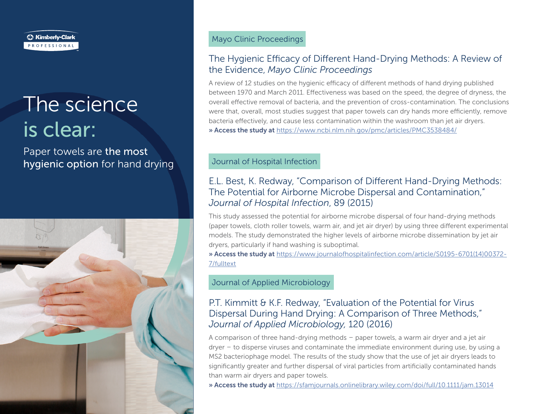

# The science is clear:

Paper towels are the most hygienic option for hand drying



#### Mayo Clinic Proceedings

# The Hygienic Efficacy of Different Hand-Drying Methods: A Review of the Evidence, *Mayo Clinic Proceedings*

A review of 12 studies on the hygienic efficacy of different methods of hand drying published between 1970 and March 2011. Effectiveness was based on the speed, the degree of dryness, the overall effective removal of bacteria, and the prevention of cross-contamination. The conclusions were that, overall, most studies suggest that paper towels can dry hands more efficiently, remove bacteria effectively, and cause less contamination within the washroom than jet air dryers. » Access the study at <https://www.ncbi.nlm.nih.gov/pmc/articles/PMC3538484/>

#### Journal of Hospital Infection

## E.L. Best, K. Redway, "Comparison of Different Hand-Drying Methods: The Potential for Airborne Microbe Dispersal and Contamination," *Journal of Hospital Infection*, 89 (2015)

This study assessed the potential for airborne microbe dispersal of four hand-drying methods (paper towels, cloth roller towels, warm air, and jet air dryer) by using three different experimental models. The study demonstrated the higher levels of airborne microbe dissemination by jet air dryers, particularly if hand washing is suboptimal.

» Access the study at [https://www.journalofhospitalinfection.com/article/S0195-6701\(14\)00372-](https://www.journalofhospitalinfection.com/article/S0195-6701(14)00372-7/fulltext) [7/fulltext](https://www.journalofhospitalinfection.com/article/S0195-6701(14)00372-7/fulltext)

#### Journal of Applied Microbiology

# P.T. Kimmitt & K.F. Redway, "Evaluation of the Potential for Virus Dispersal During Hand Drying: A Comparison of Three Methods," *Journal of Applied Microbiology,* 120 (2016)

A comparison of three hand-drying methods – paper towels, a warm air dryer and a jet air dryer – to disperse viruses and contaminate the immediate environment during use, by using a MS2 bacteriophage model. The results of the study show that the use of jet air dryers leads to significantly greater and further dispersal of viral particles from artificially contaminated hands than warm air dryers and paper towels.

» Access the study at <https://sfamjournals.onlinelibrary.wiley.com/doi/full/10.1111/jam.13014>